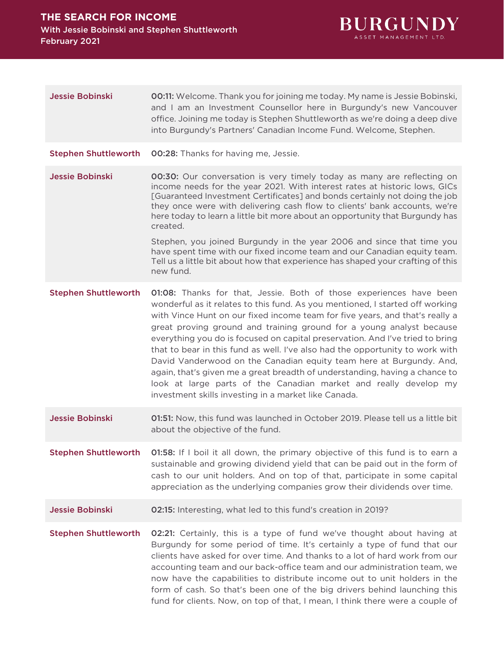

| <b>Jessie Bobinski</b>      | <b>00:11:</b> Welcome. Thank you for joining me today. My name is Jessie Bobinski,<br>and I am an Investment Counsellor here in Burgundy's new Vancouver<br>office. Joining me today is Stephen Shuttleworth as we're doing a deep dive<br>into Burgundy's Partners' Canadian Income Fund. Welcome, Stephen.                                                                                                                                                                                                                                                                                                                                                                                                                                                     |
|-----------------------------|------------------------------------------------------------------------------------------------------------------------------------------------------------------------------------------------------------------------------------------------------------------------------------------------------------------------------------------------------------------------------------------------------------------------------------------------------------------------------------------------------------------------------------------------------------------------------------------------------------------------------------------------------------------------------------------------------------------------------------------------------------------|
| <b>Stephen Shuttleworth</b> | 00:28: Thanks for having me, Jessie.                                                                                                                                                                                                                                                                                                                                                                                                                                                                                                                                                                                                                                                                                                                             |
| <b>Jessie Bobinski</b>      | <b>00:30:</b> Our conversation is very timely today as many are reflecting on<br>income needs for the year 2021. With interest rates at historic lows, GICs<br>[Guaranteed Investment Certificates] and bonds certainly not doing the job<br>they once were with delivering cash flow to clients' bank accounts, we're<br>here today to learn a little bit more about an opportunity that Burgundy has<br>created.                                                                                                                                                                                                                                                                                                                                               |
|                             | Stephen, you joined Burgundy in the year 2006 and since that time you<br>have spent time with our fixed income team and our Canadian equity team.<br>Tell us a little bit about how that experience has shaped your crafting of this<br>new fund.                                                                                                                                                                                                                                                                                                                                                                                                                                                                                                                |
| <b>Stephen Shuttleworth</b> | 01:08: Thanks for that, Jessie. Both of those experiences have been<br>wonderful as it relates to this fund. As you mentioned, I started off working<br>with Vince Hunt on our fixed income team for five years, and that's really a<br>great proving ground and training ground for a young analyst because<br>everything you do is focused on capital preservation. And I've tried to bring<br>that to bear in this fund as well. I've also had the opportunity to work with<br>David Vanderwood on the Canadian equity team here at Burgundy. And,<br>again, that's given me a great breadth of understanding, having a chance to<br>look at large parts of the Canadian market and really develop my<br>investment skills investing in a market like Canada. |
| <b>Jessie Bobinski</b>      | 01:51: Now, this fund was launched in October 2019. Please tell us a little bit<br>about the objective of the fund.                                                                                                                                                                                                                                                                                                                                                                                                                                                                                                                                                                                                                                              |
| <b>Stephen Shuttleworth</b> | 01:58: If I boil it all down, the primary objective of this fund is to earn a<br>sustainable and growing dividend yield that can be paid out in the form of<br>cash to our unit holders. And on top of that, participate in some capital<br>appreciation as the underlying companies grow their dividends over time.                                                                                                                                                                                                                                                                                                                                                                                                                                             |
| <b>Jessie Bobinski</b>      | 02:15: Interesting, what led to this fund's creation in 2019?                                                                                                                                                                                                                                                                                                                                                                                                                                                                                                                                                                                                                                                                                                    |
| <b>Stephen Shuttleworth</b> | 02:21: Certainly, this is a type of fund we've thought about having at<br>Burgundy for some period of time. It's certainly a type of fund that our<br>clients have asked for over time. And thanks to a lot of hard work from our<br>accounting team and our back-office team and our administration team, we<br>now have the capabilities to distribute income out to unit holders in the<br>form of cash. So that's been one of the big drivers behind launching this<br>fund for clients. Now, on top of that, I mean, I think there were a couple of                                                                                                                                                                                                         |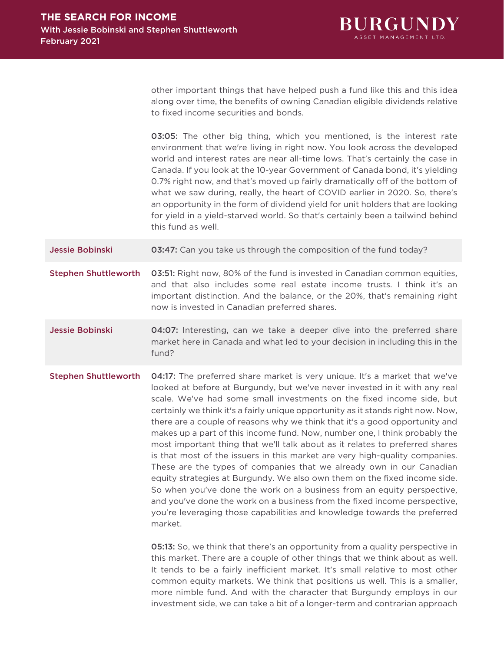

other important things that have helped push a fund like this and this idea along over time, the benefits of owning Canadian eligible dividends relative to fixed income securities and bonds.

03:05: The other big thing, which you mentioned, is the interest rate environment that we're living in right now. You look across the developed world and interest rates are near all-time lows. That's certainly the case in Canada. If you look at the 10-year Government of Canada bond, it's yielding 0.7% right now, and that's moved up fairly dramatically off of the bottom of what we saw during, really, the heart of COVID earlier in 2020. So, there's an opportunity in the form of dividend yield for unit holders that are looking for yield in a yield-starved world. So that's certainly been a tailwind behind this fund as well.

**Jessie Bobinski 63:47:** Can you take us through the composition of the fund today?

**Stephen Shuttleworth 03:51:** Right now, 80% of the fund is invested in Canadian common equities, and that also includes some real estate income trusts. I think it's an important distinction. And the balance, or the 20%, that's remaining right now is invested in Canadian preferred shares.

Jessie Bobinski **04:07:** Interesting, can we take a deeper dive into the preferred share market here in Canada and what led to your decision in including this in the fund?

Stephen Shuttleworth 04:17: The preferred share market is very unique. It's a market that we've looked at before at Burgundy, but we've never invested in it with any real scale. We've had some small investments on the fixed income side, but certainly we think it's a fairly unique opportunity as it stands right now. Now, there are a couple of reasons why we think that it's a good opportunity and makes up a part of this income fund. Now, number one, I think probably the most important thing that we'll talk about as it relates to preferred shares is that most of the issuers in this market are very high-quality companies. These are the types of companies that we already own in our Canadian equity strategies at Burgundy. We also own them on the fixed income side. So when you've done the work on a business from an equity perspective, and you've done the work on a business from the fixed income perspective, you're leveraging those capabilities and knowledge towards the preferred market.

> 05:13: So, we think that there's an opportunity from a quality perspective in this market. There are a couple of other things that we think about as well. It tends to be a fairly inefficient market. It's small relative to most other common equity markets. We think that positions us well. This is a smaller, more nimble fund. And with the character that Burgundy employs in our investment side, we can take a bit of a longer-term and contrarian approach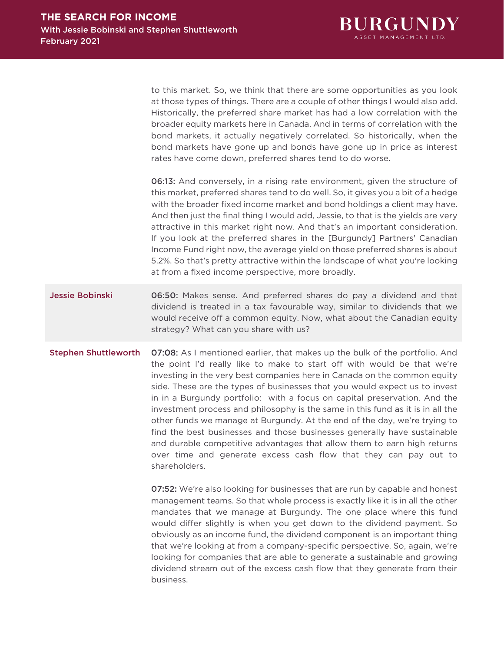

to this market. So, we think that there are some opportunities as you look at those types of things. There are a couple of other things I would also add. Historically, the preferred share market has had a low correlation with the broader equity markets here in Canada. And in terms of correlation with the bond markets, it actually negatively correlated. So historically, when the bond markets have gone up and bonds have gone up in price as interest rates have come down, preferred shares tend to do worse.

06:13: And conversely, in a rising rate environment, given the structure of this market, preferred shares tend to do well. So, it gives you a bit of a hedge with the broader fixed income market and bond holdings a client may have. And then just the final thing I would add, Jessie, to that is the yields are very attractive in this market right now. And that's an important consideration. If you look at the preferred shares in the [Burgundy] Partners' Canadian Income Fund right now, the average yield on those preferred shares is about 5.2%. So that's pretty attractive within the landscape of what you're looking at from a fixed income perspective, more broadly.

## **Jessie Bobinski 06:50:** Makes sense. And preferred shares do pay a dividend and that dividend is treated in a tax favourable way, similar to dividends that we would receive off a common equity. Now, what about the Canadian equity strategy? What can you share with us?

## Stephen Shuttleworth 07:08: As I mentioned earlier, that makes up the bulk of the portfolio. And the point I'd really like to make to start off with would be that we're investing in the very best companies here in Canada on the common equity side. These are the types of businesses that you would expect us to invest in in a Burgundy portfolio: with a focus on capital preservation. And the investment process and philosophy is the same in this fund as it is in all the other funds we manage at Burgundy. At the end of the day, we're trying to find the best businesses and those businesses generally have sustainable and durable competitive advantages that allow them to earn high returns over time and generate excess cash flow that they can pay out to shareholders.

07:52: We're also looking for businesses that are run by capable and honest management teams. So that whole process is exactly like it is in all the other mandates that we manage at Burgundy. The one place where this fund would differ slightly is when you get down to the dividend payment. So obviously as an income fund, the dividend component is an important thing that we're looking at from a company-specific perspective. So, again, we're looking for companies that are able to generate a sustainable and growing dividend stream out of the excess cash flow that they generate from their business.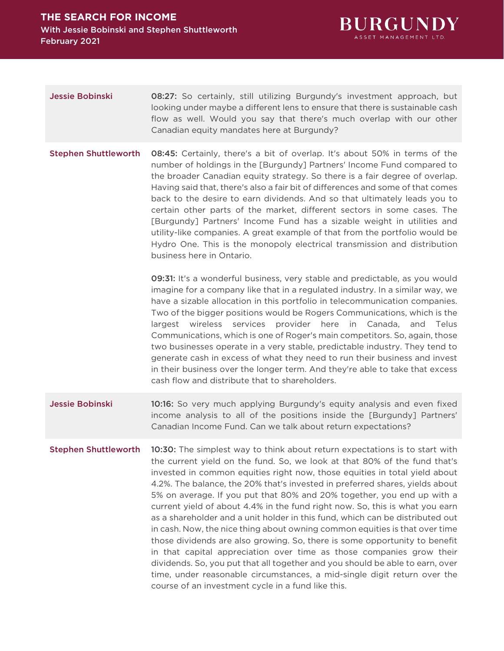

Jessie Bobinski **08:27:** So certainly, still utilizing Burgundy's investment approach, but looking under maybe a different lens to ensure that there is sustainable cash flow as well. Would you say that there's much overlap with our other Canadian equity mandates here at Burgundy?

Stephen Shuttleworth 08:45: Certainly, there's a bit of overlap. It's about 50% in terms of the number of holdings in the [Burgundy] Partners' Income Fund compared to the broader Canadian equity strategy. So there is a fair degree of overlap. Having said that, there's also a fair bit of differences and some of that comes back to the desire to earn dividends. And so that ultimately leads you to certain other parts of the market, different sectors in some cases. The [Burgundy] Partners' Income Fund has a sizable weight in utilities and utility-like companies. A great example of that from the portfolio would be Hydro One. This is the monopoly electrical transmission and distribution business here in Ontario.

> 09:31: It's a wonderful business, very stable and predictable, as you would imagine for a company like that in a regulated industry. In a similar way, we have a sizable allocation in this portfolio in telecommunication companies. Two of the bigger positions would be Rogers Communications, which is the largest wireless services provider here in Canada, and Telus Communications, which is one of Roger's main competitors. So, again, those two businesses operate in a very stable, predictable industry. They tend to generate cash in excess of what they need to run their business and invest in their business over the longer term. And they're able to take that excess cash flow and distribute that to shareholders.

- **Jessie Bobinski** 10:16: So very much applying Burgundy's equity analysis and even fixed income analysis to all of the positions inside the [Burgundy] Partners' Canadian Income Fund. Can we talk about return expectations?
- **Stephen Shuttleworth** 10:30: The simplest way to think about return expectations is to start with the current yield on the fund. So, we look at that 80% of the fund that's invested in common equities right now, those equities in total yield about 4.2%. The balance, the 20% that's invested in preferred shares, yields about 5% on average. If you put that 80% and 20% together, you end up with a current yield of about 4.4% in the fund right now. So, this is what you earn as a shareholder and a unit holder in this fund, which can be distributed out in cash. Now, the nice thing about owning common equities is that over time those dividends are also growing. So, there is some opportunity to benefit in that capital appreciation over time as those companies grow their dividends. So, you put that all together and you should be able to earn, over time, under reasonable circumstances, a mid-single digit return over the course of an investment cycle in a fund like this.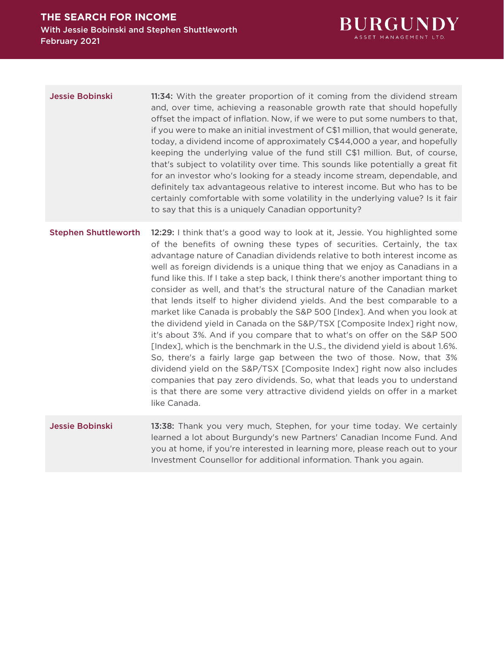

**Jessie Bobinski** 11:34: With the greater proportion of it coming from the dividend stream and, over time, achieving a reasonable growth rate that should hopefully offset the impact of inflation. Now, if we were to put some numbers to that, if you were to make an initial investment of C\$1 million, that would generate, today, a dividend income of approximately C\$44,000 a year, and hopefully keeping the underlying value of the fund still C\$1 million. But, of course, that's subject to volatility over time. This sounds like potentially a great fit for an investor who's looking for a steady income stream, dependable, and definitely tax advantageous relative to interest income. But who has to be certainly comfortable with some volatility in the underlying value? Is it fair to say that this is a uniquely Canadian opportunity?

Stephen Shuttleworth 12:29: I think that's a good way to look at it, Jessie. You highlighted some of the benefits of owning these types of securities. Certainly, the tax advantage nature of Canadian dividends relative to both interest income as well as foreign dividends is a unique thing that we enjoy as Canadians in a fund like this. If I take a step back, I think there's another important thing to consider as well, and that's the structural nature of the Canadian market that lends itself to higher dividend yields. And the best comparable to a market like Canada is probably the S&P 500 [Index]. And when you look at the dividend yield in Canada on the S&P/TSX [Composite Index] right now, it's about 3%. And if you compare that to what's on offer on the S&P 500 [Index], which is the benchmark in the U.S., the dividend yield is about 1.6%. So, there's a fairly large gap between the two of those. Now, that 3% dividend yield on the S&P/TSX [Composite Index] right now also includes companies that pay zero dividends. So, what that leads you to understand is that there are some very attractive dividend yields on offer in a market like Canada.

Jessie Bobinski **13:38:** Thank you very much, Stephen, for your time today. We certainly learned a lot about Burgundy's new Partners' Canadian Income Fund. And you at home, if you're interested in learning more, please reach out to your Investment Counsellor for additional information. Thank you again.